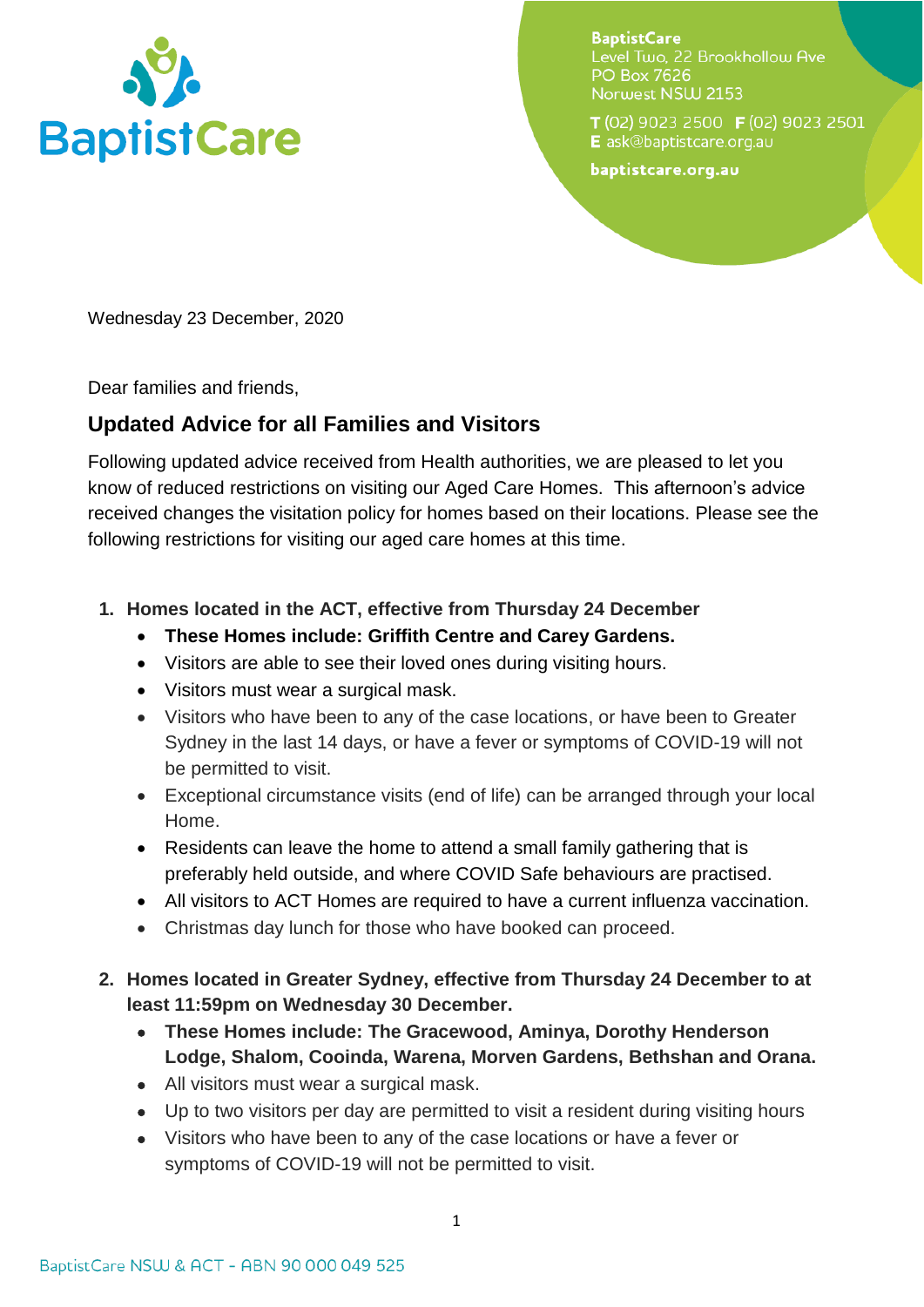

**BaptistCare** Level Two, 22 Brookhollow Ave **PO Box 7626** Norwest NSW 2153

T(02) 9023 2500 F(02) 9023 2501 E ask@baptistcare.org.au

baptistcare.org.au

Wednesday 23 December, 2020

Dear families and friends,

## **Updated Advice for all Families and Visitors**

Following updated advice received from Health authorities, we are pleased to let you know of reduced restrictions on visiting our Aged Care Homes. This afternoon's advice received changes the visitation policy for homes based on their locations. Please see the following restrictions for visiting our aged care homes at this time.

- **1. Homes located in the ACT, effective from Thursday 24 December** 
	- **These Homes include: Griffith Centre and Carey Gardens.**
	- Visitors are able to see their loved ones during visiting hours.
	- Visitors must wear a surgical mask.
	- Visitors who have been to any of the case locations, or have been to Greater Sydney in the last 14 days, or have a fever or symptoms of COVID-19 will not be permitted to visit.
	- Exceptional circumstance visits (end of life) can be arranged through your local Home.
	- Residents can leave the home to attend a small family gathering that is preferably held outside, and where COVID Safe behaviours are practised.
	- All visitors to ACT Homes are required to have a current influenza vaccination.
	- Christmas day lunch for those who have booked can proceed.
- **2. Homes located in Greater Sydney, effective from Thursday 24 December to at least 11:59pm on Wednesday 30 December.** 
	- **These Homes include: The Gracewood, Aminya, Dorothy Henderson Lodge, Shalom, Cooinda, Warena, Morven Gardens, Bethshan and Orana.**
	- All visitors must wear a surgical mask.
	- Up to two visitors per day are permitted to visit a resident during visiting hours
	- Visitors who have been to any of the case locations or have a fever or symptoms of COVID-19 will not be permitted to visit.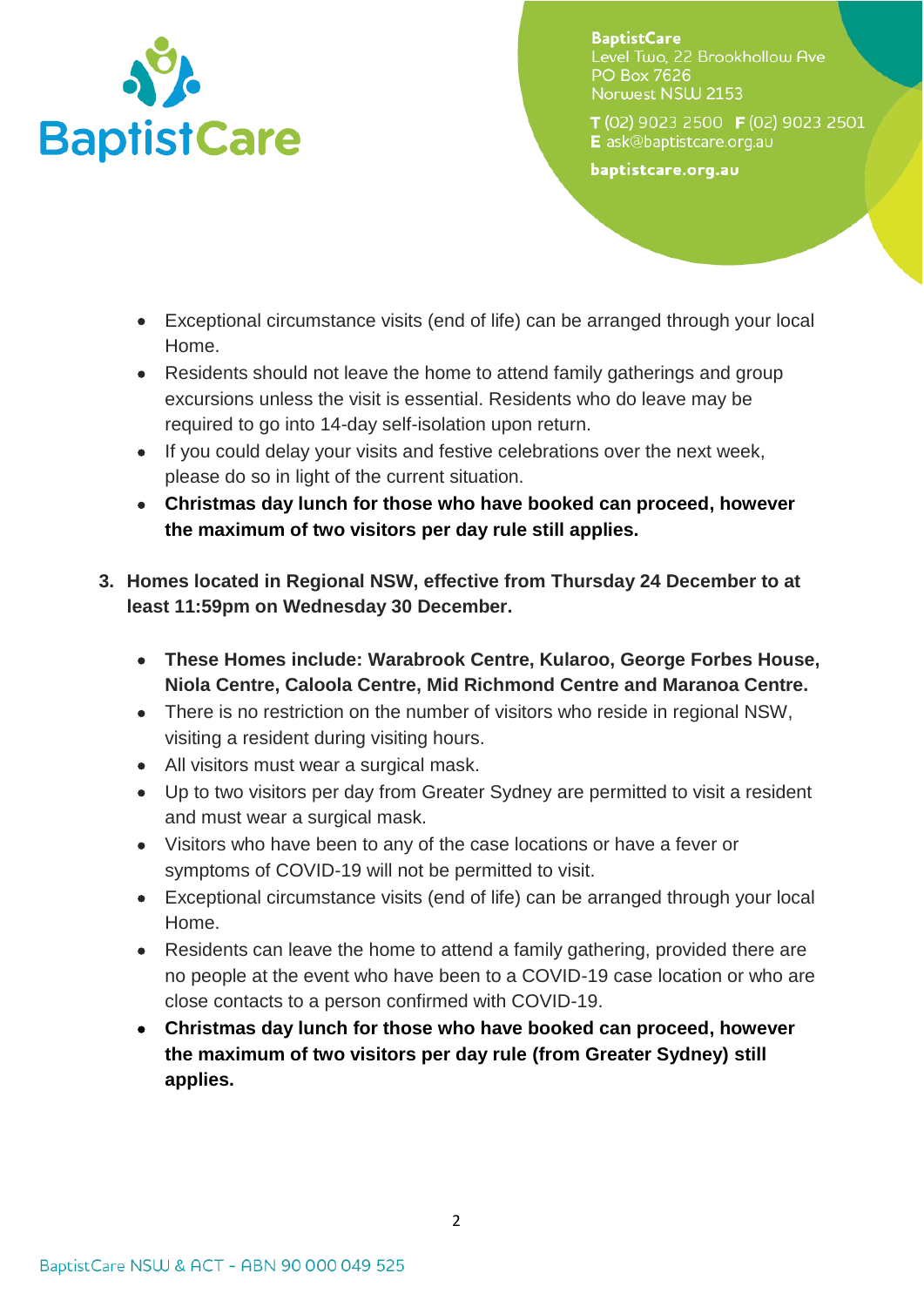

**BaptistCare** Level Two. 22 Brookhollow Ave **PO Box 7626** Norwest NSW 2153

T(02) 9023 2500 F(02) 9023 2501 E ask@baptistcare.org.au

baptistcare.org.au

- Exceptional circumstance visits (end of life) can be arranged through your local Home.
- Residents should not leave the home to attend family gatherings and group excursions unless the visit is essential. Residents who do leave may be required to go into 14-day self-isolation upon return.
- If you could delay your visits and festive celebrations over the next week, please do so in light of the current situation.
- **Christmas day lunch for those who have booked can proceed, however the maximum of two visitors per day rule still applies.**
- **3. Homes located in Regional NSW, effective from Thursday 24 December to at least 11:59pm on Wednesday 30 December.** 
	- **These Homes include: Warabrook Centre, Kularoo, George Forbes House, Niola Centre, Caloola Centre, Mid Richmond Centre and Maranoa Centre.**
	- There is no restriction on the number of visitors who reside in regional NSW, visiting a resident during visiting hours.
	- All visitors must wear a surgical mask.
	- Up to two visitors per day from Greater Sydney are permitted to visit a resident and must wear a surgical mask.
	- Visitors who have been to any of the case locations or have a fever or symptoms of COVID-19 will not be permitted to visit.
	- Exceptional circumstance visits (end of life) can be arranged through your local Home.
	- Residents can leave the home to attend a family gathering, provided there are no people at the event who have been to a COVID-19 case location or who are close contacts to a person confirmed with COVID-19.
	- **Christmas day lunch for those who have booked can proceed, however the maximum of two visitors per day rule (from Greater Sydney) still applies.**